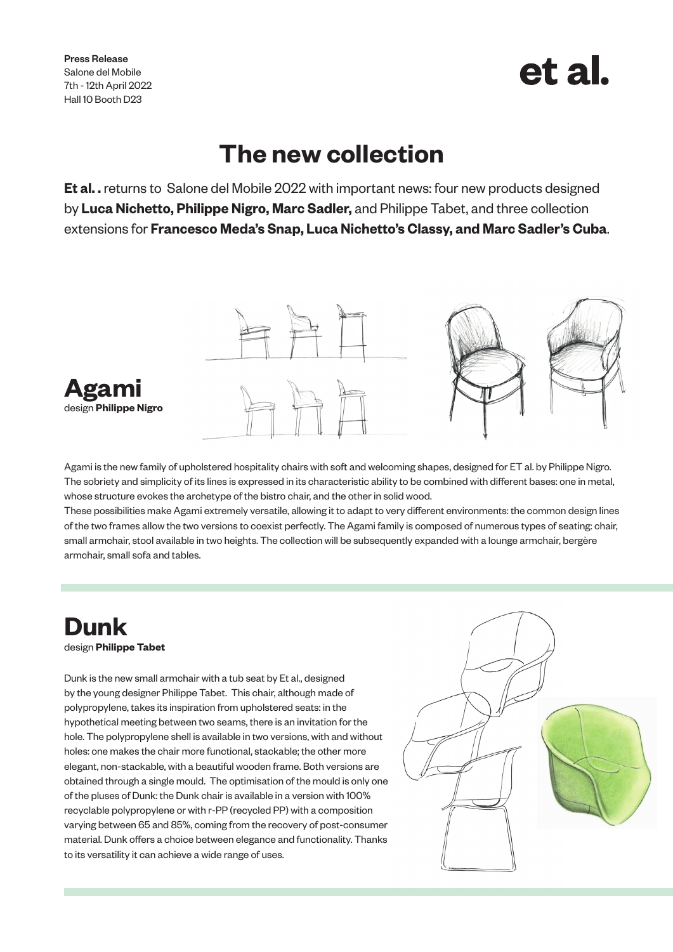Press Release Salone del Mobile 7th - 12th April 2022 Hall 10 Booth D23

# et al.

## **The new collection**

**Et al. .** returns toSalone del Mobile 2022 with important news: four new products designed by **Luca Nichetto, Philippe Nigro, Marc Sadler,** and Philippe Tabet, and three collection extensions for **Francesco Meda's Snap, Luca Nichetto's Classy, and Marc Sadler's Cuba**.



Agami is the new family of upholstered hospitality chairs with soft and welcoming shapes, designed for ET al. by Philippe Nigro. The sobriety and simplicity of its lines is expressed in its characteristic ability to be combined with different bases: one in metal, whose structure evokes the archetype of the bistro chair, and the other in solid wood.

These possibilities make Agami extremely versatile, allowing it to adapt to very different environments: the common design lines of the two frames allow the two versions to coexist perfectly. The Agami family is composed of numerous types of seating: chair, small armchair, stool available in two heights. The collection will be subsequently expanded with a lounge armchair, bergère armchair, small sofa and tables.

# **Dunk**

design **Philippe Tabet**

Dunk is the new small armchair with a tub seat by Et al., designed by the young designer Philippe Tabet. This chair, although made of polypropylene, takes its inspiration from upholstered seats: in the hypothetical meeting between two seams, there is an invitation for the hole. The polypropylene shell is available in two versions, with and without holes: one makes the chair more functional, stackable; the other more elegant, non-stackable, with a beautiful wooden frame. Both versions are obtained through a single mould. The optimisation of the mould is only one of the pluses of Dunk: the Dunk chair is available in a version with 100% recyclable polypropylene or with r-PP (recycled PP) with a composition varying between 65 and 85%, coming from the recovery of post-consumer material. Dunk offers a choice between elegance and functionality. Thanks to its versatility it can achieve a wide range of uses.

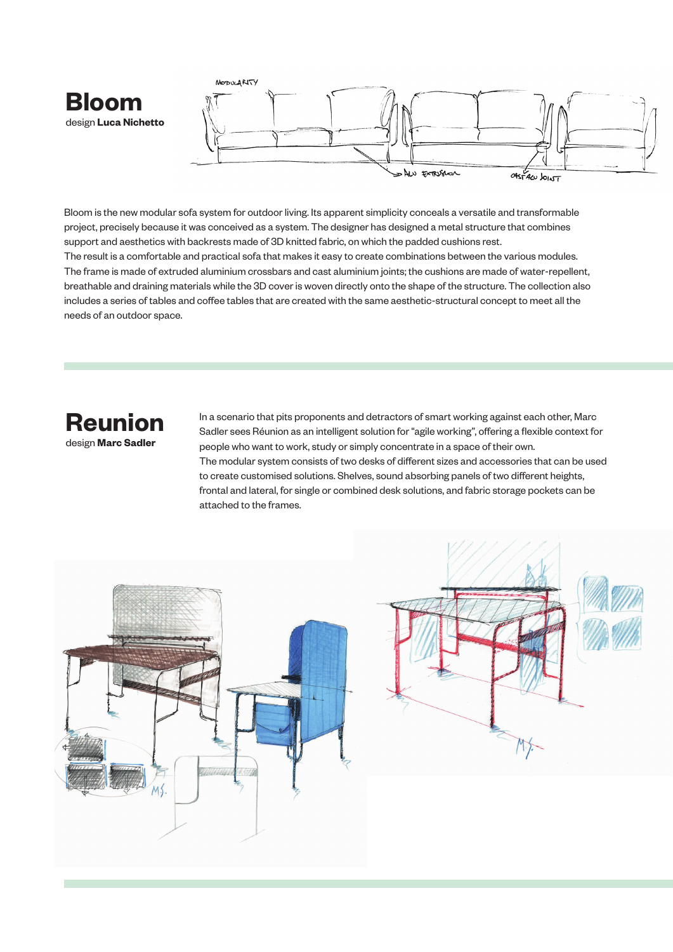



Bloom is the new modular sofa system for outdoor living. Its apparent simplicity conceals a versatile and transformable project, precisely because it was conceived as a system. The designer has designed a metal structure that combines support and aesthetics with backrests made of 3D knitted fabric, on which the padded cushions rest. The result is a comfortable and practical sofa that makes it easy to create combinations between the various modules. The frame is made of extruded aluminium crossbars and cast aluminium joints; the cushions are made of water-repellent, breathable and draining materials while the 3D cover is woven directly onto the shape of the structure. The collection also includes a series of tables and coffee tables that are created with the same aesthetic-structural concept to meet all the needs of an outdoor space.

### **Reunion** design **Marc Sadler**

In a scenario that pits proponents and detractors of smart working against each other, Marc Sadler sees Réunion as an intelligent solution for "agile working", offering a flexible context for people who want to work, study or simply concentrate in a space of their own. The modular system consists of two desks of different sizes and accessories that can be used to create customised solutions. Shelves, sound absorbing panels of two different heights, frontal and lateral, for single or combined desk solutions, and fabric storage pockets can be attached to the frames.



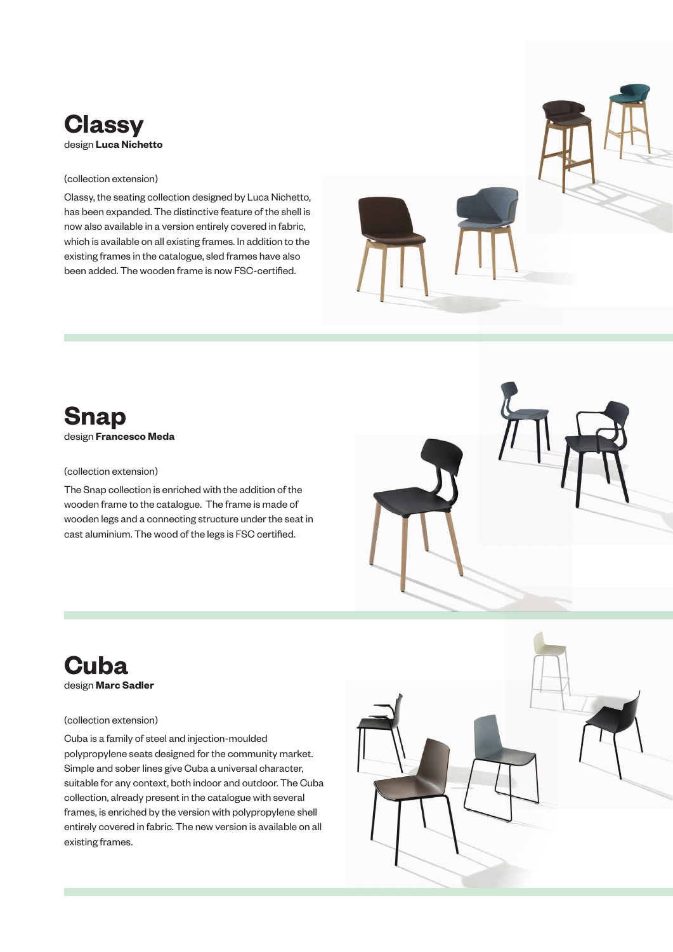

#### (collection extension)

Classy, the seating collection designed by Luca Nichetto, has been expanded. The distinctive feature of the shell is now also available in a version entirely covered in fabric, which is available on all existing frames. In addition to the existing frames in the catalogue, sled frames have also been added. The wooden frame is now FSC-certified.



#### (collection extension)

The Snap collection is enriched with the addition of the wooden frame to the catalogue. The frame is made of wooden legs and a connecting structure under the seat in cast aluminium. The wood of the legs is FSC certified.



### **Cuba** design **Marc Sadler**

#### (collection extension)

Cuba is a family of steel and injection-moulded polypropylene seats designed for the community market. Simple and sober lines give Cuba a universal character, suitable for any context, both indoor and outdoor. The Cuba collection, already present in the catalogue with several frames, is enriched by the version with polypropylene shell entirely covered in fabric. The new version is available on all existing frames.

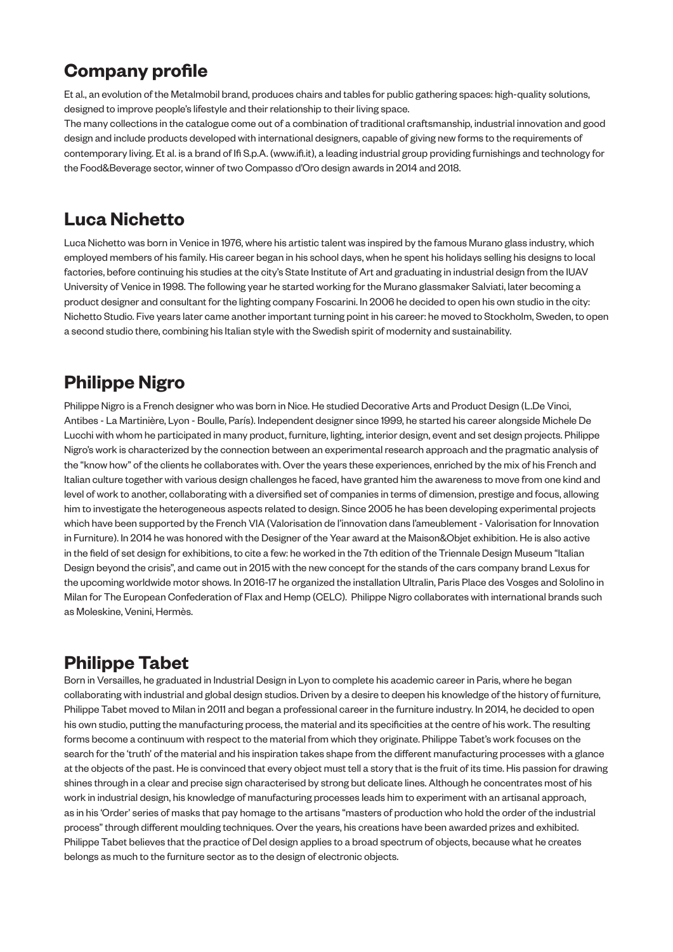### **Company profile**

Et al., an evolution of the Metalmobil brand, produces chairs and tables for public gathering spaces: high-quality solutions, designed to improve people's lifestyle and their relationship to their living space.

The many collections in the catalogue come out of a combination of traditional craftsmanship, industrial innovation and good design and include products developed with international designers, capable of giving new forms to the requirements of contemporary living. Et al. is a brand of Ifi S.p.A. (www.ifi.it), a leading industrial group providing furnishings and technology for the Food&Beverage sector, winner of two Compasso d'Oro design awards in 2014 and 2018.

### **Luca Nichetto**

Luca Nichetto was born in Venice in 1976, where his artistic talent was inspired by the famous Murano glass industry, which employed members of his family. His career began in his school days, when he spent his holidays selling his designs to local factories, before continuing his studies at the city's State Institute of Art and graduating in industrial design from the IUAV University of Venice in 1998. The following year he started working for the Murano glassmaker Salviati, later becoming a product designer and consultant for the lighting company Foscarini. In 2006 he decided to open his own studio in the city: Nichetto Studio. Five years later came another important turning point in his career: he moved to Stockholm, Sweden, to open a second studio there, combining his Italian style with the Swedish spirit of modernity and sustainability.

### **Philippe Nigro**

Philippe Nigro is a French designer who was born in Nice. He studied Decorative Arts and Product Design (L.De Vinci, Antibes - La Martinière, Lyon - Boulle, París). Independent designer since 1999, he started his career alongside Michele De Lucchi with whom he participated in many product, furniture, lighting, interior design, event and set design projects. Philippe Nigro's work is characterized by the connection between an experimental research approach and the pragmatic analysis of the "know how" of the clients he collaborates with. Over the years these experiences, enriched by the mix of his French and Italian culture together with various design challenges he faced, have granted him the awareness to move from one kind and level of work to another, collaborating with a diversified set of companies in terms of dimension, prestige and focus, allowing him to investigate the heterogeneous aspects related to design. Since 2005 he has been developing experimental projects which have been supported by the French VIA (Valorisation de l'innovation dans l'ameublement - Valorisation for Innovation in Furniture). In 2014 he was honored with the Designer of the Year award at the Maison&Objet exhibition. He is also active in the field of set design for exhibitions, to cite a few: he worked in the 7th edition of the Triennale Design Museum "Italian Design beyond the crisis", and came out in 2015 with the new concept for the stands of the cars company brand Lexus for the upcoming worldwide motor shows. In 2016-17 he organized the installation Ultralin, Paris Place des Vosges and Sololino in Milan for The European Confederation of Flax and Hemp (CELC). Philippe Nigro collaborates with international brands such as Moleskine, Venini, Hermès.

### **Philippe Tabet**

Born in Versailles, he graduated in Industrial Design in Lyon to complete his academic career in Paris, where he began collaborating with industrial and global design studios. Driven by a desire to deepen his knowledge of the history of furniture, Philippe Tabet moved to Milan in 2011 and began a professional career in the furniture industry. In 2014, he decided to open his own studio, putting the manufacturing process, the material and its specificities at the centre of his work. The resulting forms become a continuum with respect to the material from which they originate. Philippe Tabet's work focuses on the search for the 'truth' of the material and his inspiration takes shape from the different manufacturing processes with a glance at the objects of the past. He is convinced that every object must tell a story that is the fruit of its time. His passion for drawing shines through in a clear and precise sign characterised by strong but delicate lines. Although he concentrates most of his work in industrial design, his knowledge of manufacturing processes leads him to experiment with an artisanal approach, as in his 'Order' series of masks that pay homage to the artisans "masters of production who hold the order of the industrial process" through different moulding techniques. Over the years, his creations have been awarded prizes and exhibited. Philippe Tabet believes that the practice of Del design applies to a broad spectrum of objects, because what he creates belongs as much to the furniture sector as to the design of electronic objects.